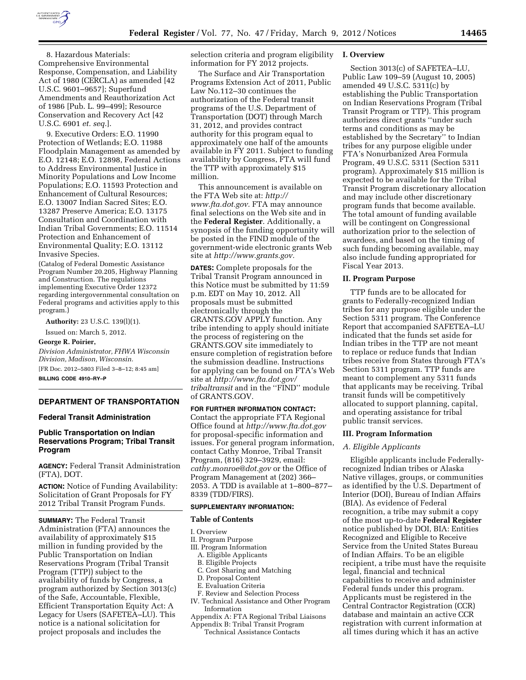

8. Hazardous Materials: Comprehensive Environmental Response, Compensation, and Liability Act of 1980 (CERCLA) as amended [42 U.S.C. 9601–9657]; Superfund Amendments and Reauthorization Act of 1986 [Pub. L. 99–499]; Resource Conservation and Recovery Act [42 U.S.C. 6901 *et. seq.*].

9. Executive Orders: E.O. 11990 Protection of Wetlands; E.O. 11988 Floodplain Management as amended by E.O. 12148; E.O. 12898, Federal Actions to Address Environmental Justice in Minority Populations and Low Income Populations; E.O. 11593 Protection and Enhancement of Cultural Resources; E.O. 13007 Indian Sacred Sites; E.O. 13287 Preserve America; E.O. 13175 Consultation and Coordination with Indian Tribal Governments; E.O. 11514 Protection and Enhancement of Environmental Quality; E.O. 13112 Invasive Species.

(Catalog of Federal Domestic Assistance Program Number 20.205, Highway Planning and Construction. The regulations implementing Executive Order 12372 regarding intergovernmental consultation on Federal programs and activities apply to this program.)

**Authority:** 23 U.S.C. 139(l)(1).

Issued on: March 5, 2012.

#### **George R. Poirier,**

*Division Administrator, FHWA Wisconsin Division, Madison, Wisconsin.* 

[FR Doc. 2012–5803 Filed 3–8–12; 8:45 am]

**BILLING CODE 4910–RY–P** 

# **DEPARTMENT OF TRANSPORTATION**

## **Federal Transit Administration**

# **Public Transportation on Indian Reservations Program; Tribal Transit Program**

**AGENCY:** Federal Transit Administration (FTA), DOT.

**ACTION:** Notice of Funding Availability: Solicitation of Grant Proposals for FY 2012 Tribal Transit Program Funds.

**SUMMARY:** The Federal Transit Administration (FTA) announces the availability of approximately \$15 million in funding provided by the Public Transportation on Indian Reservations Program (Tribal Transit Program (TTP)) subject to the availability of funds by Congress, a program authorized by Section 3013(c) of the Safe, Accountable, Flexible, Efficient Transportation Equity Act: A Legacy for Users (SAFETEA–LU). This notice is a national solicitation for project proposals and includes the

selection criteria and program eligibility information for FY 2012 projects.

The Surface and Air Transportation Programs Extension Act of 2011, Public Law No.112–30 continues the authorization of the Federal transit programs of the U.S. Department of Transportation (DOT) through March 31, 2012, and provides contract authority for this program equal to approximately one half of the amounts available in FY 2011. Subject to funding availability by Congress, FTA will fund the TTP with approximately \$15 million.

This announcement is available on the FTA Web site at: *[http://](http://www.fta.dot.gov) [www.fta.dot.gov.](http://www.fta.dot.gov)* FTA may announce final selections on the Web site and in the **Federal Register**. Additionally, a synopsis of the funding opportunity will be posted in the FIND module of the government-wide electronic grants Web site at *[http://www.grants.gov.](http://www.grants.gov)* 

**DATES:** Complete proposals for the Tribal Transit Program announced in this Notice must be submitted by 11:59 p.m. EDT on May 10, 2012. All proposals must be submitted electronically through the GRANTS.GOV APPLY function. Any tribe intending to apply should initiate the process of registering on the GRANTS.GOV site immediately to ensure completion of registration before the submission deadline. Instructions for applying can be found on FTA's Web site at *[http://www.fta.dot.gov/](http://www.fta.dot.gov/tribaltransit)  [tribaltransit](http://www.fta.dot.gov/tribaltransit)* and in the ''FIND'' module of GRANTS.GOV.

**FOR FURTHER INFORMATION CONTACT:**  Contact the appropriate FTA Regional Office found at *<http://www.fta.dot.gov>* for proposal-specific information and issues. For general program information, contact Cathy Monroe, Tribal Transit Program, (816) 329–3929, email: *[cathy.monroe@dot.gov](mailto:cathy.monroe@dot.gov)* or the Office of Program Management at (202) 366– 2053. A TDD is available at 1–800–877– 8339 (TDD/FIRS).

## **SUPPLEMENTARY INFORMATION:**

### **Table of Contents**

#### I. Overview

- II. Program Purpose
- III. Program Information
	- A. Eligible Applicants B. Eligible Projects

- C. Cost Sharing and Matching
- D. Proposal Content
- E. Evaluation Criteria
- F. Review and Selection Process IV. Technical Assistance and Other Program Information
- Appendix A: FTA Regional Tribal Liaisons
- Appendix B: Tribal Transit Program Technical Assistance Contacts

### **I. Overview**

Section 3013(c) of SAFETEA–LU, Public Law 109–59 (August 10, 2005) amended 49 U.S.C. 5311(c) by establishing the Public Transportation on Indian Reservations Program (Tribal Transit Program or TTP). This program authorizes direct grants ''under such terms and conditions as may be established by the Secretary'' to Indian tribes for any purpose eligible under FTA's Nonurbanized Area Formula Program, 49 U.S.C. 5311 (Section 5311 program). Approximately \$15 million is expected to be available for the Tribal Transit Program discretionary allocation and may include other discretionary program funds that become available. The total amount of funding available will be contingent on Congressional authorization prior to the selection of awardees, and based on the timing of such funding becoming available, may also include funding appropriated for Fiscal Year 2013.

## **II. Program Purpose**

TTP funds are to be allocated for grants to Federally-recognized Indian tribes for any purpose eligible under the Section 5311 program. The Conference Report that accompanied SAFETEA–LU indicated that the funds set aside for Indian tribes in the TTP are not meant to replace or reduce funds that Indian tribes receive from States through FTA's Section 5311 program. TTP funds are meant to complement any 5311 funds that applicants may be receiving. Tribal transit funds will be competitively allocated to support planning, capital, and operating assistance for tribal public transit services.

#### **III. Program Information**

# *A. Eligible Applicants*

Eligible applicants include Federallyrecognized Indian tribes or Alaska Native villages, groups, or communities as identified by the U.S. Department of Interior (DOI), Bureau of Indian Affairs (BIA). As evidence of Federal recognition, a tribe may submit a copy of the most up-to-date **Federal Register**  notice published by DOI, BIA: Entities Recognized and Eligible to Receive Service from the United States Bureau of Indian Affairs. To be an eligible recipient, a tribe must have the requisite legal, financial and technical capabilities to receive and administer Federal funds under this program. Applicants must be registered in the Central Contractor Registration (CCR) database and maintain an active CCR registration with current information at all times during which it has an active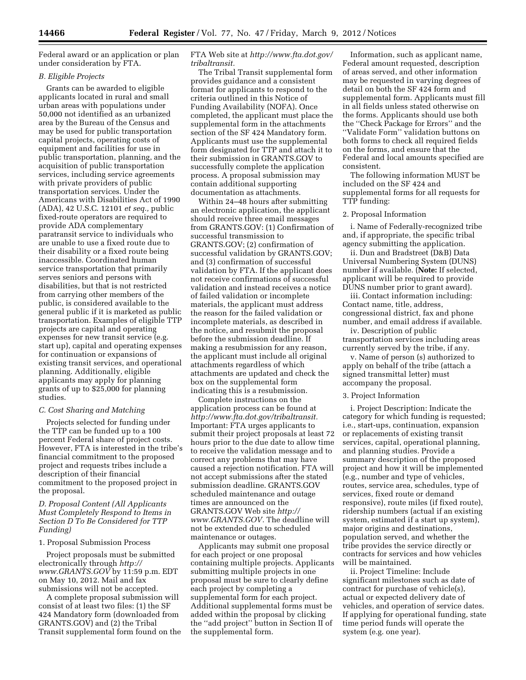Federal award or an application or plan under consideration by FTA.

# *B. Eligible Projects*

Grants can be awarded to eligible applicants located in rural and small urban areas with populations under 50,000 not identified as an urbanized area by the Bureau of the Census and may be used for public transportation capital projects, operating costs of equipment and facilities for use in public transportation, planning, and the acquisition of public transportation services, including service agreements with private providers of public transportation services. Under the Americans with Disabilities Act of 1990 (ADA), 42 U.S.C. 12101 *et seq.,* public fixed-route operators are required to provide ADA complementary paratransit service to individuals who are unable to use a fixed route due to their disability or a fixed route being inaccessible. Coordinated human service transportation that primarily serves seniors and persons with disabilities, but that is not restricted from carrying other members of the public, is considered available to the general public if it is marketed as public transportation. Examples of eligible TTP projects are capital and operating expenses for new transit service (e.g. start up), capital and operating expenses for continuation or expansions of existing transit services, and operational planning. Additionally, eligible applicants may apply for planning grants of up to \$25,000 for planning studies.

# *C. Cost Sharing and Matching*

Projects selected for funding under the TTP can be funded up to a 100 percent Federal share of project costs. However, FTA is interested in the tribe's financial commitment to the proposed project and requests tribes include a description of their financial commitment to the proposed project in the proposal.

# *D. Proposal Content (All Applicants Must Completely Respond to Items in Section D To Be Considered for TTP Funding)*

# 1. Proposal Submission Process

Project proposals must be submitted electronically through *[http://](http://www.GRANTS.GOV) [www.GRANTS.GOV](http://www.GRANTS.GOV)* by 11:59 p.m. EDT on May 10, 2012. Mail and fax submissions will not be accepted.

A complete proposal submission will consist of at least two files: (1) the SF 424 Mandatory form (downloaded from GRANTS.GOV) and (2) the Tribal Transit supplemental form found on the

# FTA Web site at *[http://www.fta.dot.gov/](http://www.fta.dot.gov/tribaltransit)  [tribaltransit.](http://www.fta.dot.gov/tribaltransit)*

The Tribal Transit supplemental form provides guidance and a consistent format for applicants to respond to the criteria outlined in this Notice of Funding Availability (NOFA). Once completed, the applicant must place the supplemental form in the attachments section of the SF 424 Mandatory form. Applicants must use the supplemental form designated for TTP and attach it to their submission in GRANTS.GOV to successfully complete the application process. A proposal submission may contain additional supporting documentation as attachments.

Within 24–48 hours after submitting an electronic application, the applicant should receive three email messages from GRANTS.GOV: (1) Confirmation of successful transmission to GRANTS.GOV; (2) confirmation of successful validation by GRANTS.GOV; and (3) confirmation of successful validation by FTA. If the applicant does not receive confirmations of successful validation and instead receives a notice of failed validation or incomplete materials, the applicant must address the reason for the failed validation or incomplete materials, as described in the notice, and resubmit the proposal before the submission deadline. If making a resubmission for any reason, the applicant must include all original attachments regardless of which attachments are updated and check the box on the supplemental form indicating this is a resubmission.

Complete instructions on the application process can be found at *[http://www.fta.dot.gov/tribaltransit.](http://www.fta.dot.gov/tribaltransit)*  Important: FTA urges applicants to submit their project proposals at least 72 hours prior to the due date to allow time to receive the validation message and to correct any problems that may have caused a rejection notification. FTA will not accept submissions after the stated submission deadline. GRANTS.GOV scheduled maintenance and outage times are announced on the GRANTS.GOV Web site *[http://](http://www.GRANTS.GOV) [www.GRANTS.GOV.](http://www.GRANTS.GOV)* The deadline will not be extended due to scheduled maintenance or outages.

Applicants may submit one proposal for each project or one proposal containing multiple projects. Applicants submitting multiple projects in one proposal must be sure to clearly define each project by completing a supplemental form for each project. Additional supplemental forms must be added within the proposal by clicking the ''add project'' button in Section II of the supplemental form.

Information, such as applicant name, Federal amount requested, description of areas served, and other information may be requested in varying degrees of detail on both the SF 424 form and supplemental form. Applicants must fill in all fields unless stated otherwise on the forms. Applicants should use both the ''Check Package for Errors'' and the ''Validate Form'' validation buttons on both forms to check all required fields on the forms, and ensure that the Federal and local amounts specified are consistent.

The following information MUST be included on the SF 424 and supplemental forms for all requests for TTP funding:

#### 2. Proposal Information

i. Name of Federally-recognized tribe and, if appropriate, the specific tribal agency submitting the application.

ii. Dun and Bradstreet (D&B) Data Universal Numbering System (DUNS) number if available. (**Note:** If selected, applicant will be required to provide DUNS number prior to grant award).

iii. Contact information including: Contact name, title, address, congressional district, fax and phone number, and email address if available.

iv. Description of public transportation services including areas currently served by the tribe, if any.

v. Name of person (s) authorized to apply on behalf of the tribe (attach a signed transmittal letter) must accompany the proposal.

# 3. Project Information

i. Project Description: Indicate the category for which funding is requested; i.e., start-ups, continuation, expansion or replacements of existing transit services, capital, operational planning, and planning studies. Provide a summary description of the proposed project and how it will be implemented (e.g., number and type of vehicles, routes, service area, schedules, type of services, fixed route or demand responsive), route miles (if fixed route), ridership numbers (actual if an existing system, estimated if a start up system), major origins and destinations, population served, and whether the tribe provides the service directly or contracts for services and how vehicles will be maintained.

ii. Project Timeline: Include significant milestones such as date of contract for purchase of vehicle(s), actual or expected delivery date of vehicles, and operation of service dates. If applying for operational funding, state time period funds will operate the system (e.g. one year).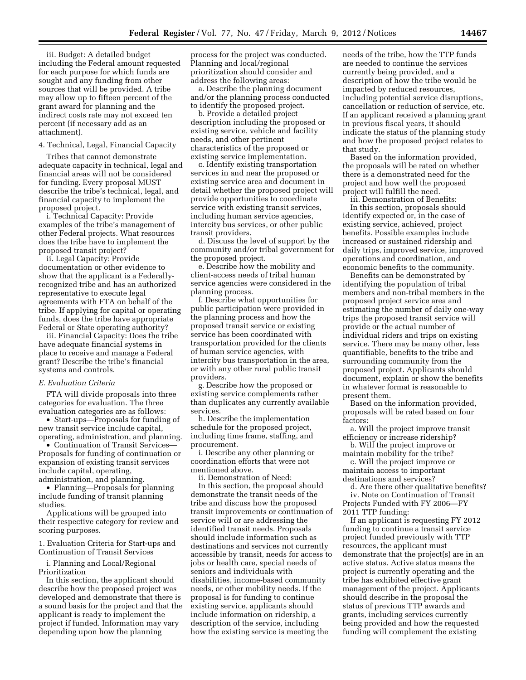iii. Budget: A detailed budget including the Federal amount requested for each purpose for which funds are sought and any funding from other sources that will be provided. A tribe may allow up to fifteen percent of the grant award for planning and the indirect costs rate may not exceed ten percent (if necessary add as an attachment).

# 4. Technical, Legal, Financial Capacity

Tribes that cannot demonstrate adequate capacity in technical, legal and financial areas will not be considered for funding. Every proposal MUST describe the tribe's technical, legal, and financial capacity to implement the proposed project.

i. Technical Capacity: Provide examples of the tribe's management of other Federal projects. What resources does the tribe have to implement the proposed transit project?

ii. Legal Capacity: Provide documentation or other evidence to show that the applicant is a Federallyrecognized tribe and has an authorized representative to execute legal agreements with FTA on behalf of the tribe. If applying for capital or operating funds, does the tribe have appropriate Federal or State operating authority?

iii. Financial Capacity: Does the tribe have adequate financial systems in place to receive and manage a Federal grant? Describe the tribe's financial systems and controls.

# *E. Evaluation Criteria*

FTA will divide proposals into three categories for evaluation. The three evaluation categories are as follows:

• Start-ups—Proposals for funding of new transit service include capital, operating, administration, and planning.

• Continuation of Transit Services— Proposals for funding of continuation or expansion of existing transit services include capital, operating, administration, and planning.

• Planning—Proposals for planning include funding of transit planning studies.

Applications will be grouped into their respective category for review and scoring purposes.

1. Evaluation Criteria for Start-ups and Continuation of Transit Services

i. Planning and Local/Regional Prioritization

In this section, the applicant should describe how the proposed project was developed and demonstrate that there is a sound basis for the project and that the applicant is ready to implement the project if funded. Information may vary depending upon how the planning

process for the project was conducted. Planning and local/regional prioritization should consider and address the following areas:

a. Describe the planning document and/or the planning process conducted to identify the proposed project.

b. Provide a detailed project description including the proposed or existing service, vehicle and facility needs, and other pertinent characteristics of the proposed or existing service implementation.

c. Identify existing transportation services in and near the proposed or existing service area and document in detail whether the proposed project will provide opportunities to coordinate service with existing transit services, including human service agencies, intercity bus services, or other public transit providers.

d. Discuss the level of support by the community and/or tribal government for the proposed project.

e. Describe how the mobility and client-access needs of tribal human service agencies were considered in the planning process.

f. Describe what opportunities for public participation were provided in the planning process and how the proposed transit service or existing service has been coordinated with transportation provided for the clients of human service agencies, with intercity bus transportation in the area, or with any other rural public transit providers.

g. Describe how the proposed or existing service complements rather than duplicates any currently available services.

h. Describe the implementation schedule for the proposed project, including time frame, staffing, and procurement.

i. Describe any other planning or coordination efforts that were not mentioned above.

ii. Demonstration of Need:

In this section, the proposal should demonstrate the transit needs of the tribe and discuss how the proposed transit improvements or continuation of service will or are addressing the identified transit needs. Proposals should include information such as destinations and services not currently accessible by transit, needs for access to jobs or health care, special needs of seniors and individuals with disabilities, income-based community needs, or other mobility needs. If the proposal is for funding to continue existing service, applicants should include information on ridership, a description of the service, including how the existing service is meeting the

needs of the tribe, how the TTP funds are needed to continue the services currently being provided, and a description of how the tribe would be impacted by reduced resources, including potential service disruptions, cancellation or reduction of service, etc. If an applicant received a planning grant in previous fiscal years, it should indicate the status of the planning study and how the proposed project relates to that study.

Based on the information provided, the proposals will be rated on whether there is a demonstrated need for the project and how well the proposed project will fulfill the need.

iii. Demonstration of Benefits:

In this section, proposals should identify expected or, in the case of existing service, achieved, project benefits. Possible examples include increased or sustained ridership and daily trips, improved service, improved operations and coordination, and economic benefits to the community.

Benefits can be demonstrated by identifying the population of tribal members and non-tribal members in the proposed project service area and estimating the number of daily one-way trips the proposed transit service will provide or the actual number of individual riders and trips on existing service. There may be many other, less quantifiable, benefits to the tribe and surrounding community from the proposed project. Applicants should document, explain or show the benefits in whatever format is reasonable to present them.

Based on the information provided, proposals will be rated based on four factors:

a. Will the project improve transit efficiency or increase ridership?

b. Will the project improve or maintain mobility for the tribe?

c. Will the project improve or maintain access to important

destinations and services?

d. Are there other qualitative benefits? iv. Note on Continuation of Transit Projects Funded with FY 2006—FY 2011 TTP funding:

If an applicant is requesting FY 2012 funding to continue a transit service project funded previously with TTP resources, the applicant must demonstrate that the project(s) are in an active status. Active status means the project is currently operating and the tribe has exhibited effective grant management of the project. Applicants should describe in the proposal the status of previous TTP awards and grants, including services currently being provided and how the requested funding will complement the existing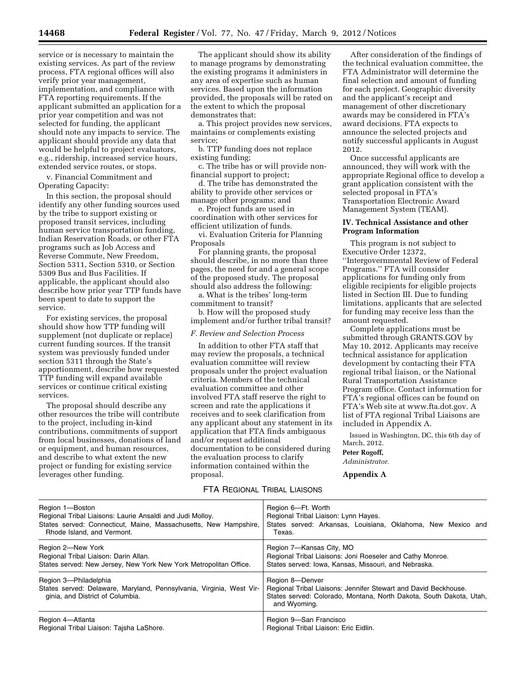service or is necessary to maintain the existing services. As part of the review process, FTA regional offices will also verify prior year management, implementation, and compliance with FTA reporting requirements. If the applicant submitted an application for a prior year competition and was not selected for funding, the applicant should note any impacts to service. The applicant should provide any data that would be helpful to project evaluators, e.g., ridership, increased service hours, extended service routes, or stops.

v. Financial Commitment and Operating Capacity:

In this section, the proposal should identify any other funding sources used by the tribe to support existing or proposed transit services, including human service transportation funding, Indian Reservation Roads, or other FTA programs such as Job Access and Reverse Commute, New Freedom, Section 5311, Section 5310, or Section 5309 Bus and Bus Facilities. If applicable, the applicant should also describe how prior year TTP funds have been spent to date to support the service.

For existing services, the proposal should show how TTP funding will supplement (not duplicate or replace) current funding sources. If the transit system was previously funded under section 5311 through the State's apportionment, describe how requested TTP funding will expand available services or continue critical existing services.

The proposal should describe any other resources the tribe will contribute to the project, including in-kind contributions, commitments of support from local businesses, donations of land or equipment, and human resources, and describe to what extent the new project or funding for existing service leverages other funding.

The applicant should show its ability to manage programs by demonstrating the existing programs it administers in any area of expertise such as human services. Based upon the information provided, the proposals will be rated on the extent to which the proposal demonstrates that:

a. This project provides new services, maintains or complements existing service;

b. TTP funding does not replace existing funding;

c. The tribe has or will provide nonfinancial support to project;

d. The tribe has demonstrated the ability to provide other services or manage other programs; and

e. Project funds are used in coordination with other services for efficient utilization of funds.

vi. Evaluation Criteria for Planning Proposals

For planning grants, the proposal should describe, in no more than three pages, the need for and a general scope of the proposed study. The proposal should also address the following:

a. What is the tribes' long-term commitment to transit?

b. How will the proposed study implement and/or further tribal transit?

# *F. Review and Selection Process*

In addition to other FTA staff that may review the proposals, a technical evaluation committee will review proposals under the project evaluation criteria. Members of the technical evaluation committee and other involved FTA staff reserve the right to screen and rate the applications it receives and to seek clarification from any applicant about any statement in its application that FTA finds ambiguous and/or request additional documentation to be considered during the evaluation process to clarify information contained within the proposal.

# FTA REGIONAL TRIBAL LIAISONS

After consideration of the findings of the technical evaluation committee, the FTA Administrator will determine the final selection and amount of funding for each project. Geographic diversity and the applicant's receipt and management of other discretionary awards may be considered in FTA's award decisions. FTA expects to announce the selected projects and notify successful applicants in August 2012.

Once successful applicants are announced, they will work with the appropriate Regional office to develop a grant application consistent with the selected proposal in FTA's Transportation Electronic Award Management System (TEAM).

# **IV. Technical Assistance and other Program Information**

This program is not subject to Executive Order 12372, ''Intergovernmental Review of Federal Programs.'' FTA will consider applications for funding only from eligible recipients for eligible projects listed in Section III. Due to funding limitations, applicants that are selected for funding may receive less than the amount requested.

Complete applications must be submitted through GRANTS.GOV by May 10, 2012. Applicants may receive technical assistance for application development by contacting their FTA regional tribal liaison, or the National Rural Transportation Assistance Program office. Contact information for FTA's regional offices can be found on FTA's Web site at [www.fta.dot.gov.](http://www.fta.dot.gov) A list of FTA regional Tribal Liaisons are included in Appendix A.

Issued in Washington, DC, this 6th day of March, 2012.

**Peter Rogoff,** 

*Administrator.* 

**Appendix A** 

| Region 1-Boston                                                                                                                   | Region 6-Ft. Worth                                                                                                                                                        |
|-----------------------------------------------------------------------------------------------------------------------------------|---------------------------------------------------------------------------------------------------------------------------------------------------------------------------|
| Regional Tribal Liaisons: Laurie Ansaldi and Judi Molloy.                                                                         | Regional Tribal Liaison: Lynn Hayes.                                                                                                                                      |
| States served: Connecticut, Maine, Massachusetts, New Hampshire,                                                                  | States served: Arkansas, Louisiana, Oklahoma, New Mexico and                                                                                                              |
| Rhode Island, and Vermont.                                                                                                        | Texas.                                                                                                                                                                    |
| Region 2-New York                                                                                                                 | Region 7-Kansas City, MO                                                                                                                                                  |
| Regional Tribal Liaison: Darin Allan.                                                                                             | Regional Tribal Liaisons: Joni Roeseler and Cathy Monroe.                                                                                                                 |
| States served: New Jersey, New York New York Metropolitan Office.                                                                 | States served: Iowa, Kansas, Missouri, and Nebraska.                                                                                                                      |
| Region 3-Philadelphia<br>States served: Delaware, Maryland, Pennsylvania, Virginia, West Vir-<br>ginia, and District of Columbia. | Region 8-Denver<br>Regional Tribal Liaisons: Jennifer Stewart and David Beckhouse.<br>States served: Colorado, Montana, North Dakota, South Dakota, Utah,<br>and Wyoming. |
| Region 4-Atlanta                                                                                                                  | Region 9-San Francisco                                                                                                                                                    |
| Regional Tribal Liaison: Tajsha LaShore.                                                                                          | Regional Tribal Liaison: Eric Eidlin.                                                                                                                                     |